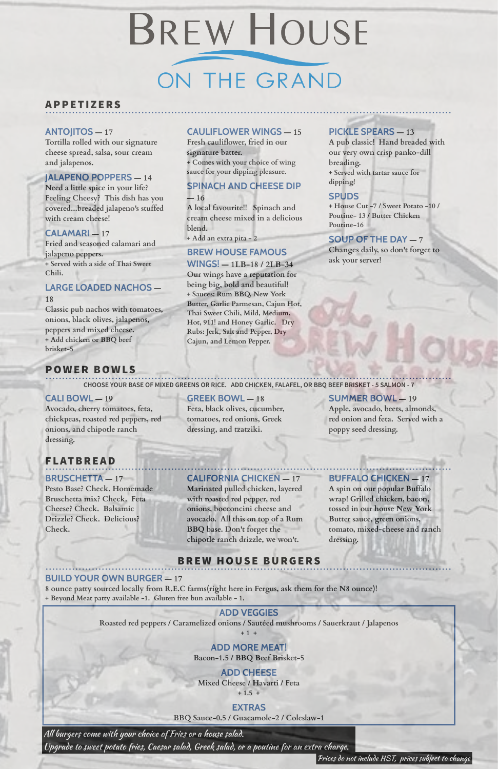# BREW HOUSE ON THE GRAND

#### ßßßßßßßßßßßßßßßßßßßßßßßßßßßßßßßßßßßßßßßßßßßßßßßßßßßßßßßßßßßßßßßßßßßßßßßßßßßßßßßßßßßßßßßßßßßßßßßßßßßßßßßßßßßßßßßßßßßßßßßßßßß APPETIZERS

### **ANTOJITOS — 17**

**Tortilla rolled with our signature cheese spread, salsa, sour cream and jalapenos.**

### **JALAPENO POPPERS** — 14<br> **COUNAGLIAND GUEFSE DID**

### **CAULIFLOWER WINGS — 15**

**Fresh cauliflower, fried in our signature batter. + Comes with your choice of wing**

**sauce for your dipping pleasure.**

### **PICKLE SPEARS — 13**

**A pub classic! Hand breaded with our very own crisp panko-dill breading. + Served with tartar sauce for**

**Need a little spice in your life? Feeling Cheesy? This dish has you covered...breaded jalapeno's stuffed with cream cheese!**

### **SPINACH AND CHEESE DIP**

**— 16 A local favourite!! Spinach and cream cheese mixed in a delicious blend. + Add an extra pita - 2**

### **SPUDS**

**+ House Cut -7 / Sweet Potato -10 / Poutine- 13 / Butter Chicken Poutine-16**

**CALAMARI — 17 Fried and seasoned calamari and jalapeno peppers. + Served with a side of Thai Sweet Chili.**

### **BREW HOUSE FAMOUS**

#### **WINGS! — 1LB-18 / 2LB-34**

**Our wings have a reputation for being big, bold and beautiful! + Sauces: Rum BBQ, New York Butter, Garlic Parmesan, Cajun Hot, Thai Sweet Chili, Mild, Medium, Hot, 911! and Honey Garlic. Dry Rubs: Jerk, Salt and Pepper, Dry Cajun, and Lemon Pepper.**

### **SOUP OF THE DAY — 7**

**Changes daily, so don't forget to ask your server!**

### **LARGE LOADED NACHOS —**

#### **18**

**Classic pub nachos with tomatoes, onions, black olives, jalapenos, peppers and mixed cheese. + Add chicken or BBQ beef brisket-5**

#### ßßßßßßßßßßßßßßßßßßßßßßßßßßßßßßßßßßßßßßßßßßßßßßßßßßßßßßßßßßßßßßßßßßßßßßßßßßßßßßßßßßßßßßßßßßßßßßßßßßßßßßßßßßßßßßßßßßßßßßßßßßß POWER BOWLS

### **CHOOSE YOUR BASE OF MIXED GREENS OR RICE. ADD CHICKEN, FALAFEL, OR BBQ BEEF BRISKET - 5 SALMON - 7**

**CALI BOWL — 19 Avocado, cherry tomatoes, feta, chickpeas, roasted red peppers, red onions, and chipotle ranch**

**dressing.**

### **GREEK BOWL — 18 Feta, black olives, cucumber, tomatoes, red onions, Greek dressing, and tzatziki.**

**SUMMER BOWL — 19**

**Apple, avocado, beets, almonds, red onion and feta. Served with a**

**poppy seed dressing.**

## ßßßßßßßßßßßßßßßßßßßßßßßßßßßßßßßßßßßßßßßßßßßßßßßßßßßßßßßßßßßßßßßßßßßßßßßßßßßßßßßßßßßßßßßßßßßßßßßßßßßßßßßßßßßßßßßßßßßßßßßßßßß

### F LATBREAD

**BRUSCHETTA — 17 Pesto Base? Check. Homemade Bruschetta mix? Check. Feta Cheese? Check. Balsamic Drizzle? Check. Delicious? Check.**

**CALIFORNIA CHICKEN — 17**

**Marinated pulled chicken, layered with roasted red pepper, red onions, bocconcini cheese and avocado. All this on top of a Rum BBQ base. Don't forget the chipotle ranch drizzle, we won't.**

### **BREW HOUSE BURGERS**<br>BREW HOUSE BURGERS

**BUFFALO CHICKEN — 17 A spin on our popular Buffalo wrap! Grilled chicken, bacon, tossed in our house New York Butter sauce, green onions, tomato, mixed-cheese and ranch dressing.**

### **BUILD YOUR OWN BURGER — 17**

**8 ounce patty sourced locally from R.E.C farms(right here in Fergus, ask them for the N8 ounce)! + Beyond Meat patty available -1. Gluten free bun available - 1.** 

#### **ADD VEGGIES**

**Roasted red peppers / Caramelized onions / Sautéed mushrooms / Sauerkraut / Jalapenos**

**+ 1 +**

### **ADD MORE MEAT!**

**Bacon-1.5 / BBQ Beef Brisket-5**

**ADD CHEESE Mixed Cheese / Havarti / Feta**

**+ 1.5 +**

### **EXTRAS**

**BBQ Sauce-0.5 / Guacamole-2 / Coleslaw-1**

All burgers come with your choice of Fries or a house salad.

Upgrade to sweet potato fries, Caesar salad, Greek salad, or a poutine for an extra charge.

Prices do not include HST, prices subject to change